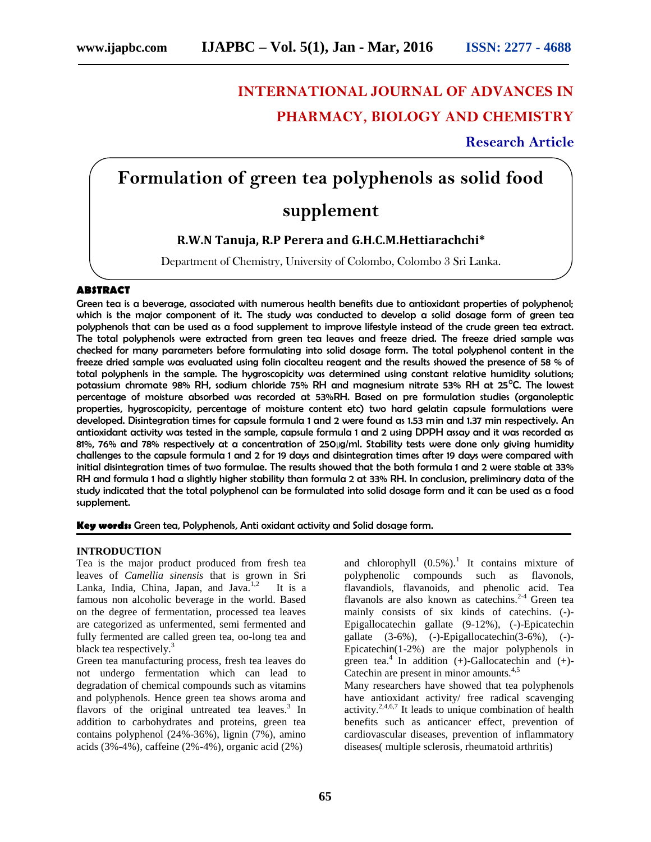# **INTERNATIONAL JOURNAL OF ADVANCES IN PHARMACY, BIOLOGY AND CHEMISTRY**

# **Research Article**

# **Formulation of green tea polyphenols as solid food supplement**

# **R.W.N Tanuja, R.P Perera and G.H.C.M.Hettiarachchi\***

Department of Chemistry, University of Colombo, Colombo 3 Sri Lanka.

# **ABSTRACT**

Green tea is a beverage, associated with numerous health benefits due to antioxidant properties of polyphenol; which is the major component of it. The study was conducted to develop a solid dosage form of green tea polyphenols that can be used as a food supplement to improve lifestyle instead of the crude green tea extract. The total polyphenols were extracted from green tea leaves and freeze dried. The freeze dried sample was checked for many parameters before formulating into solid dosage form. The total polyphenol content in the freeze dried sample was evaluated using folin ciocalteu reagent and the results showed the presence of 58 % of total polyphenls in the sample. The hygroscopicity was determined using constant relative humidity solutions; potassium chromate 98% RH, sodium chloride 75% RH and magnesium nitrate 53% RH at 25°C. The lowest percentage of moisture absorbed was recorded at 53%RH. Based on pre formulation studies (organoleptic properties, hygroscopicity, percentage of moisture content etc) two hard gelatin capsule formulations were developed. Disintegration times for capsule formula 1 and 2 were found as 1.53 min and 1.37 min respectively. An antioxidant activity was tested in the sample, capsule formula 1 and 2 using DPPH assay and it was recorded as 81%, 76% and 78% respectively at a concentration of 250µg/ml. Stability tests were done only giving humidity challenges to the capsule formula 1 and 2 for 19 days and disintegration times after 19 days were compared with initial disintegration times of two formulae. The results showed that the both formula 1 and 2 were stable at 33% RH and formula 1 had a slightly higher stability than formula 2 at 33% RH. In conclusion, preliminary data of the study indicated that the total polyphenol can be formulated into solid dosage form and it can be used as a food supplement.

**Key words:** Green tea, Polyphenols, Anti oxidant activity and Solid dosage form.

# **INTRODUCTION**

Tea is the major product produced from fresh tea leaves of *Camellia sinensis* that is grown in Sri Lanka, India, China, Japan, and Java. $1,2$  It is a famous non alcoholic beverage in the world. Based on the degree of fermentation, processed tea leaves are categorized as unfermented, semi fermented and fully fermented are called green tea, oo-long tea and black tea respectively.<sup>3</sup>

Green tea manufacturing process, fresh tea leaves do not undergo fermentation which can lead to degradation of chemical compounds such as vitamins and polyphenols. Hence green tea shows aroma and flavors of the original untreated tea leaves. $3$  In addition to carbohydrates and proteins, green tea contains polyphenol (24%-36%), lignin (7%), amino acids (3%-4%), caffeine (2%-4%), organic acid (2%)

and chlorophyll  $(0.5\%)$ .<sup>1</sup> It contains mixture of polyphenolic compounds such as flavonols, flavandiols, flavanoids, and phenolic acid. Tea flavanols are also known as catechins.<sup>2-4</sup> Green tea mainly consists of six kinds of catechins. (-)- Epigallocatechin gallate (9-12%), (-)-Epicatechin gallate (3-6%), (-)-Epigallocatechin(3-6%), (-)- Epicatechin(1-2%) are the major polyphenols in green tea.<sup>4</sup> In addition  $(+)$ -Gallocatechin and  $(+)$ -Catechin are present in minor amounts.<sup>4,5</sup> Many researchers have showed that tea polyphenols

have antioxidant activity/ free radical scavenging activity.<sup>2,4,6,7</sup> It leads to unique combination of health benefits such as anticancer effect, prevention of cardiovascular diseases, prevention of inflammatory diseases( multiple sclerosis, rheumatoid arthritis)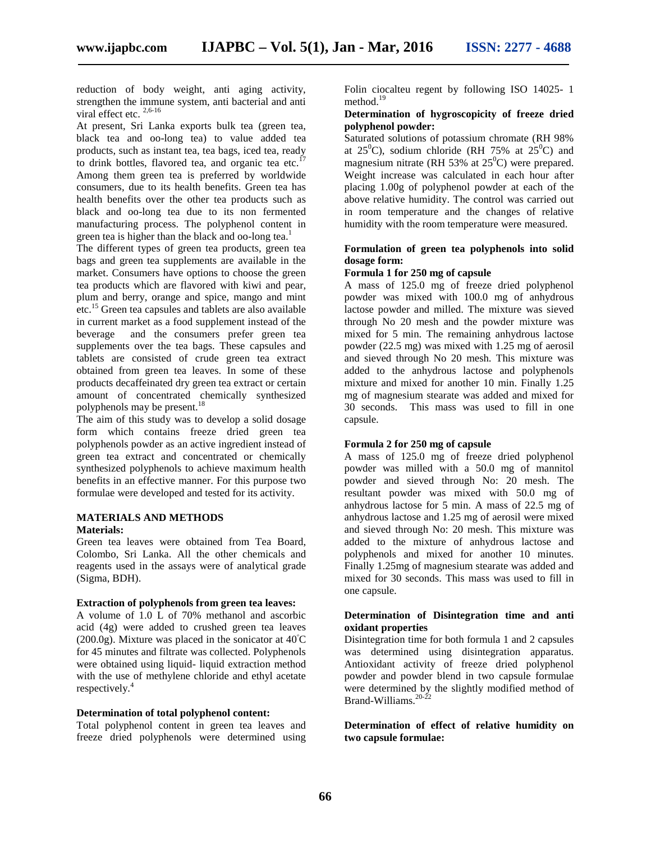reduction of body weight, anti aging activity, strengthen the immune system, anti bacterial and anti viral effect etc.  $2,6-16$ 

At present, Sri Lanka exports bulk tea (green tea, black tea and oo-long tea) to value added tea products, such as instant tea, tea bags, iced tea, ready to drink bottles, flavored tea, and organic tea etc. $^{17}$ Among them green tea is preferred by worldwide consumers, due to its health benefits. Green tea has health benefits over the other tea products such as black and oo-long tea due to its non fermented manufacturing process. The polyphenol content in green tea is higher than the black and oo-long tea.<sup>1</sup>

The different types of green tea products, green tea bags and green tea supplements are available in the market. Consumers have options to choose the green tea products which are flavored with kiwi and pear, plum and berry, orange and spice, mango and mint etc.<sup>15</sup> Green tea capsules and tablets are also available in current market as a food supplement instead of the beverage and the consumers prefer green tea supplements over the tea bags. These capsules and tablets are consisted of crude green tea extract obtained from green tea leaves. In some of these products decaffeinated dry green tea extract or certain amount of concentrated chemically synthesized polyphenols may be present.<sup>18</sup>

The aim of this study was to develop a solid dosage form which contains freeze dried green tea polyphenols powder as an active ingredient instead of green tea extract and concentrated or chemically synthesized polyphenols to achieve maximum health benefits in an effective manner. For this purpose two formulae were developed and tested for its activity.

# **MATERIALS AND METHODS Materials:**

Green tea leaves were obtained from Tea Board, Colombo, Sri Lanka. All the other chemicals and reagents used in the assays were of analytical grade (Sigma, BDH).

# **Extraction of polyphenols from green tea leaves:**

A volume of 1.0 L of 70% methanol and ascorbic acid (4g) were added to crushed green tea leaves  $(200.0)$ . Mixture was placed in the sonicator at 40 $\degree$ C for 45 minutes and filtrate was collected. Polyphenols were obtained using liquid- liquid extraction method with the use of methylene chloride and ethyl acetate respectively.<sup>4</sup>

#### **Determination of total polyphenol content:**

Total polyphenol content in green tea leaves and freeze dried polyphenols were determined using

Folin ciocalteu regent by following ISO 14025- 1 method. $19$ 

# **Determination of hygroscopicity of freeze dried polyphenol powder:**

Saturated solutions of potassium chromate (RH 98% at  $25^{\circ}$ C), sodium chloride (RH 75% at  $25^{\circ}$ C) and magnesium nitrate (RH 53% at  $25^{\circ}$ C) were prepared. Weight increase was calculated in each hour after placing 1.00g of polyphenol powder at each of the above relative humidity. The control was carried out in room temperature and the changes of relative humidity with the room temperature were measured.

# **Formulation of green tea polyphenols into solid dosage form:**

# **Formula 1 for 250 mg of capsule**

A mass of 125.0 mg of freeze dried polyphenol powder was mixed with 100.0 mg of anhydrous lactose powder and milled. The mixture was sieved through No 20 mesh and the powder mixture was mixed for 5 min. The remaining anhydrous lactose powder (22.5 mg) was mixed with 1.25 mg of aerosil and sieved through No 20 mesh. This mixture was added to the anhydrous lactose and polyphenols mixture and mixed for another 10 min. Finally 1.25 mg of magnesium stearate was added and mixed for 30 seconds. This mass was used to fill in one capsule.

# **Formula 2 for 250 mg of capsule**

A mass of 125.0 mg of freeze dried polyphenol powder was milled with a 50.0 mg of mannitol powder and sieved through No: 20 mesh. The resultant powder was mixed with 50.0 mg of anhydrous lactose for 5 min. A mass of 22.5 mg of anhydrous lactose and 1.25 mg of aerosil were mixed and sieved through No: 20 mesh. This mixture was added to the mixture of anhydrous lactose and polyphenols and mixed for another 10 minutes. Finally 1.25mg of magnesium stearate was added and mixed for 30 seconds. This mass was used to fill in one capsule.

# **Determination of Disintegration time and anti oxidant properties**

Disintegration time for both formula 1 and 2 capsules was determined using disintegration apparatus. Antioxidant activity of freeze dried polyphenol powder and powder blend in two capsule formulae were determined by the slightly modified method of Brand-Williams.<sup>20-22</sup>

**Determination of effect of relative humidity on two capsule formulae:**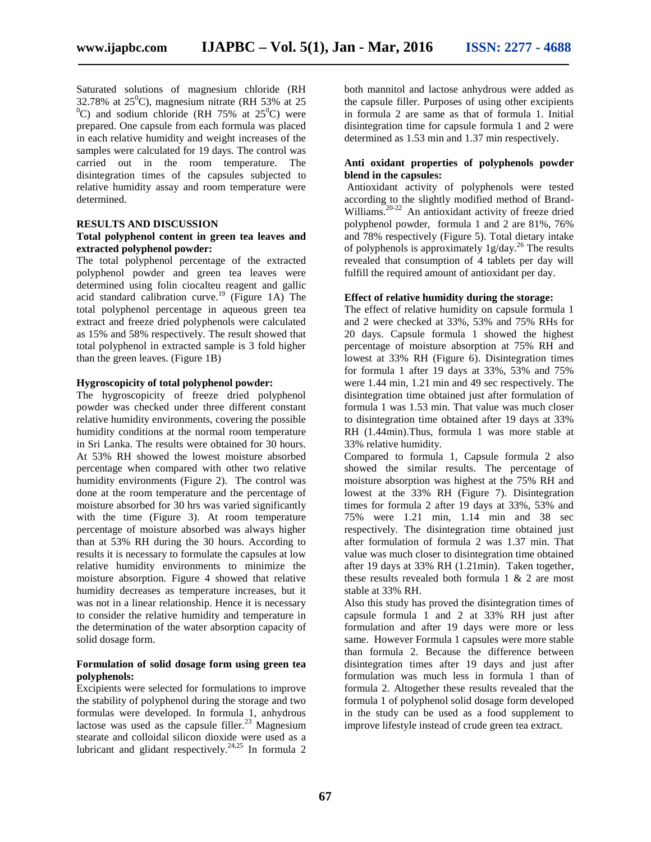Saturated solutions of magnesium chloride (RH 32.78% at  $25^{\circ}$ C), magnesium nitrate (RH 53% at 25  $^{0}$ C) and sodium chloride (RH 75% at 25 $^{0}$ C) were prepared. One capsule from each formula was placed in each relative humidity and weight increases of the samples were calculated for 19 days. The control was carried out in the room temperature. The disintegration times of the capsules subjected to relative humidity assay and room temperature were determined.

# **RESULTS AND DISCUSSION**

# **Total polyphenol content in green tea leaves and extracted polyphenol powder:**

The total polyphenol percentage of the extracted polyphenol powder and green tea leaves were determined using folin ciocalteu reagent and gallic acid standard calibration curve.<sup>19</sup> (Figure 1A) The total polyphenol percentage in aqueous green tea extract and freeze dried polyphenols were calculated as 15% and 58% respectively. The result showed that total polyphenol in extracted sample is 3 fold higher than the green leaves. (Figure 1B)

### **Hygroscopicity of total polyphenol powder:**

The hygroscopicity of freeze dried polyphenol powder was checked under three different constant relative humidity environments, covering the possible humidity conditions at the normal room temperature in Sri Lanka. The results were obtained for 30 hours. At 53% RH showed the lowest moisture absorbed percentage when compared with other two relative humidity environments (Figure 2). The control was done at the room temperature and the percentage of moisture absorbed for 30 hrs was varied significantly with the time (Figure 3). At room temperature percentage of moisture absorbed was always higher than at 53% RH during the 30 hours. According to results it is necessary to formulate the capsules at low relative humidity environments to minimize the moisture absorption. Figure 4 showed that relative humidity decreases as temperature increases, but it was not in a linear relationship. Hence it is necessary to consider the relative humidity and temperature in the determination of the water absorption capacity of solid dosage form.

#### **Formulation of solid dosage form using green tea polyphenols:**

Excipients were selected for formulations to improve the stability of polyphenol during the storage and two formulas were developed. In formula 1, anhydrous lactose was used as the capsule filler. $^{23}$  Magnesium stearate and colloidal silicon dioxide were used as a lubricant and glidant respectively.<sup>24,25</sup> In formula 2

both mannitol and lactose anhydrous were added as the capsule filler. Purposes of using other excipients in formula 2 are same as that of formula 1. Initial disintegration time for capsule formula 1 and 2 were determined as 1.53 min and 1.37 min respectively.

# **Anti oxidant properties of polyphenols powder blend in the capsules:**

Antioxidant activity of polyphenols were tested according to the slightly modified method of Brand- Williams. $20-22$  An antioxidant activity of freeze dried polyphenol powder, formula 1 and 2 are 81%, 76% and 78% respectively (Figure 5).Total dietary intake of polyphenols is approximately 1g/day.<sup>26</sup> The results revealed that consumption of 4 tablets per day will fulfill the required amount of antioxidant per day.

# **Effect of relative humidity during the storage:**

The effect of relative humidity on capsule formula 1 and 2 were checked at 33%, 53% and 75% RHs for 20 days. Capsule formula 1 showed the highest percentage of moisture absorption at 75% RH and lowest at 33% RH (Figure 6). Disintegration times for formula 1 after 19 days at 33%, 53% and 75% were 1.44 min, 1.21 min and 49 sec respectively. The disintegration time obtained just after formulation of formula 1 was 1.53 min. That value was much closer to disintegration time obtained after 19 days at 33% RH (1.44min).Thus, formula 1 was more stable at 33% relative humidity.

Compared to formula 1, Capsule formula 2 also showed the similar results. The percentage of moisture absorption was highest at the 75% RH and lowest at the 33% RH (Figure 7). Disintegration times for formula 2 after 19 days at 33%, 53% and 75% were 1.21 min, 1.14 min and 38 sec respectively. The disintegration time obtained just after formulation of formula 2 was 1.37 min. That value was much closer to disintegration time obtained after 19 days at 33% RH (1.21min). Taken together, these results revealed both formula 1 & 2 are most stable at 33% RH.

Also this study has proved the disintegration times of capsule formula 1 and 2 at 33% RH just after formulation and after 19 days were more or less same. However Formula 1 capsules were more stable than formula 2. Because the difference between disintegration times after 19 days and just after formulation was much less in formula 1 than of formula 2. Altogether these results revealed that the formula 1 of polyphenol solid dosage form developed in the study can be used as a food supplement to improve lifestyle instead of crude green tea extract.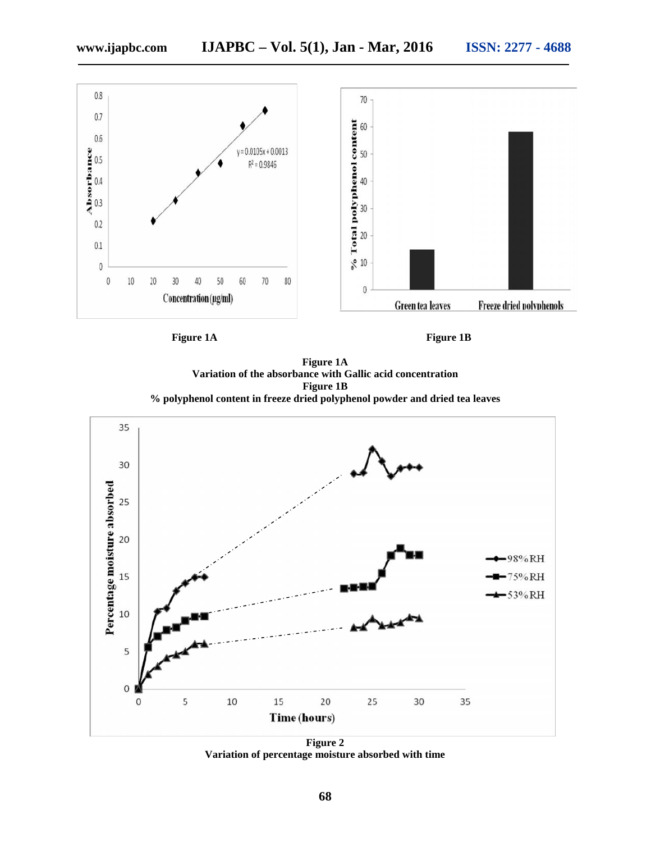

**Figure 1A Variation of the absorbance with Gallic acid concentration Figure 1B % polyphenol content in freeze dried polyphenol powder and dried tea leaves**



**Figure 2 Variation of percentage moisture absorbed with time**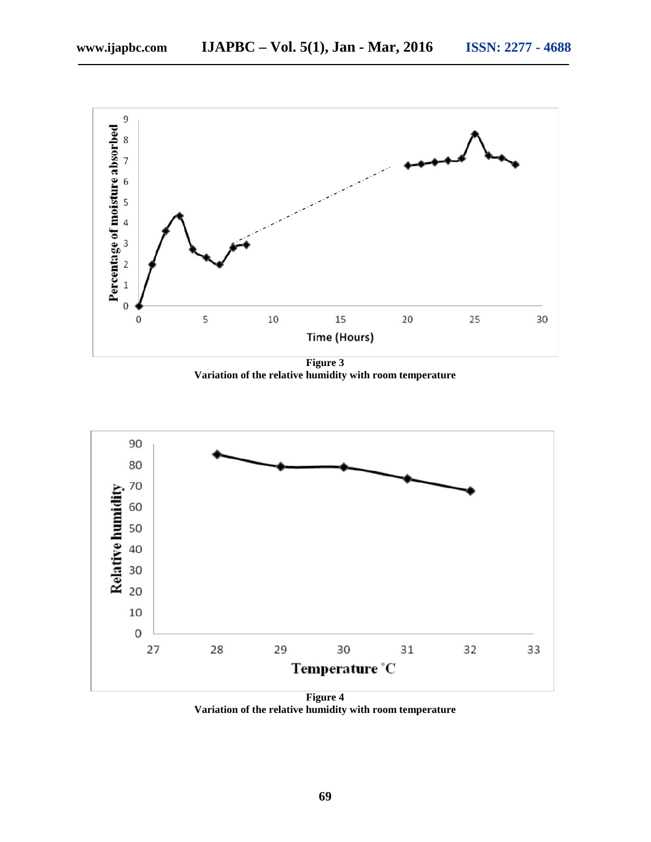

**Figure 3 Variation of the relative humidity with room temperature**



**Variation of the relative humidity with room temperature**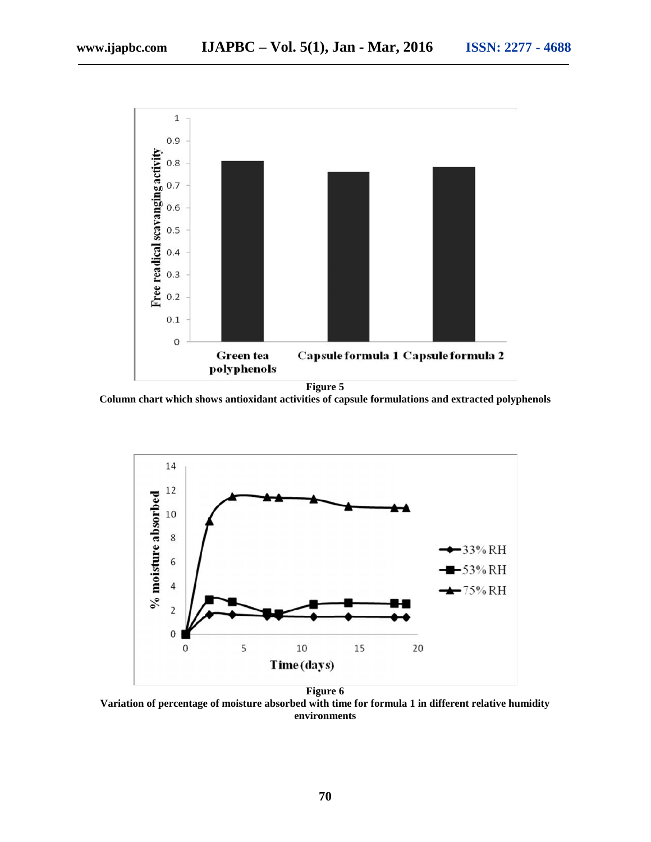

**Figure 5**

**Column chart which shows antioxidant activities of capsule formulations and extracted polyphenols**



**Variation of percentage of moisture absorbed with time for formula 1 in different relative humidity environments**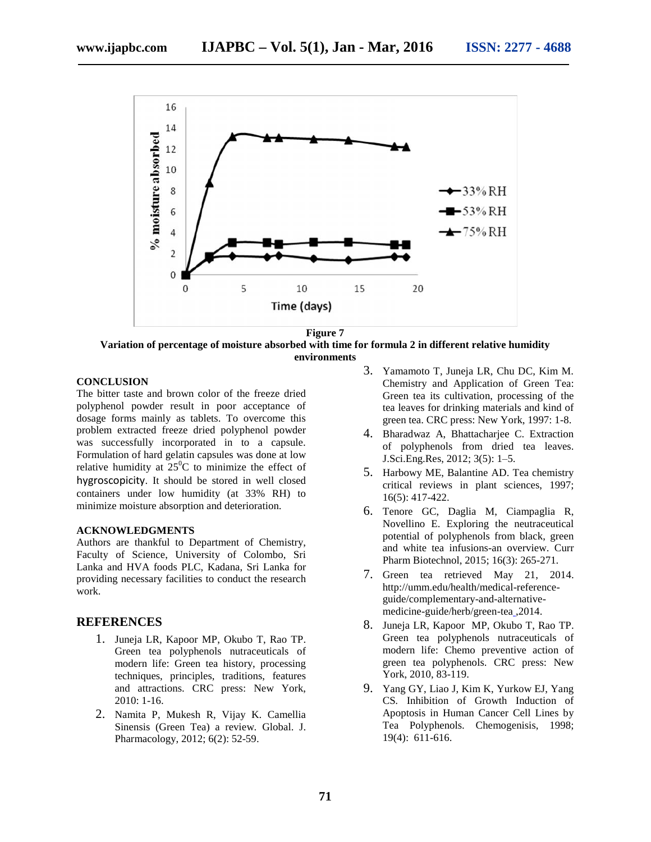

**Figure 7 Variation of percentage of moisture absorbed with time for formula 2 in different relative humidity environments**

# **CONCLUSION**

The bitter taste and brown color of the freeze dried polyphenol powder result in poor acceptance of dosage forms mainly as tablets. To overcome this problem extracted freeze dried polyphenol powder was successfully incorporated in to a capsule. Formulation of hard gelatin capsules was done at low relative humidity at  $25^{\circ}$ C to minimize the effect of hygroscopicity. It should be stored in well closed containers under low humidity (at 33% RH) to minimize moisture absorption and deterioration.

# **ACKNOWLEDGMENTS**

Authors are thankful to Department of Chemistry, Faculty of Science, University of Colombo, Sri Lanka and HVA foods PLC, Kadana, Sri Lanka for providing necessary facilities to conduct the research work.

# **REFERENCES**

- 1. Juneja LR, Kapoor MP, Okubo T, Rao TP. Green tea polyphenols nutraceuticals of modern life: Green tea history, processing techniques, principles, traditions, features and attractions. CRC press: New York, 2010: 1-16.
- 2. Namita P, Mukesh R, Vijay K. Camellia Sinensis (Green Tea) a review. Global. J. Pharmacology, 2012; 6(2): 52-59.
- 3. Yamamoto T, Juneja LR, Chu DC, Kim M. Chemistry and Application of Green Tea: Green tea its cultivation, processing of the tea leaves for drinking materials and kind of green tea. CRC press: New York, 1997: 1-8.
- 4. Bharadwaz A, Bhattacharjee C. Extraction of polyphenols from dried tea leaves. J.Sci.Eng.Res, 2012; 3(5): 1–5.
- 5. Harbowy ME, Balantine AD. Tea chemistry critical reviews in plant sciences, 1997; 16(5): 417-422.
- 6. Tenore GC, Daglia M, Ciampaglia R, Novellino E. Exploring the neutraceutical potential of polyphenols from black, green and white tea infusions-an overview. Curr Pharm Biotechnol, 2015; 16(3): 265-271.
- 7. Green tea retrieved May 21, 2014. http://umm.edu/health/medical-reference guide/complementary-and-alternative medicine-guide/herb/green-tea ,2014.
- 8. Juneja LR, Kapoor MP, Okubo T, Rao TP. Green tea polyphenols nutraceuticals of modern life: Chemo preventive action of green tea polyphenols. CRC press: New York, 2010, 83-119.
- 9. Yang GY, Liao J, Kim K, Yurkow EJ, Yang CS*.* Inhibition of Growth Induction of Apoptosis in Human Cancer Cell Lines by Tea Polyphenols. Chemogenisis, 1998; 19(4): 611-616.